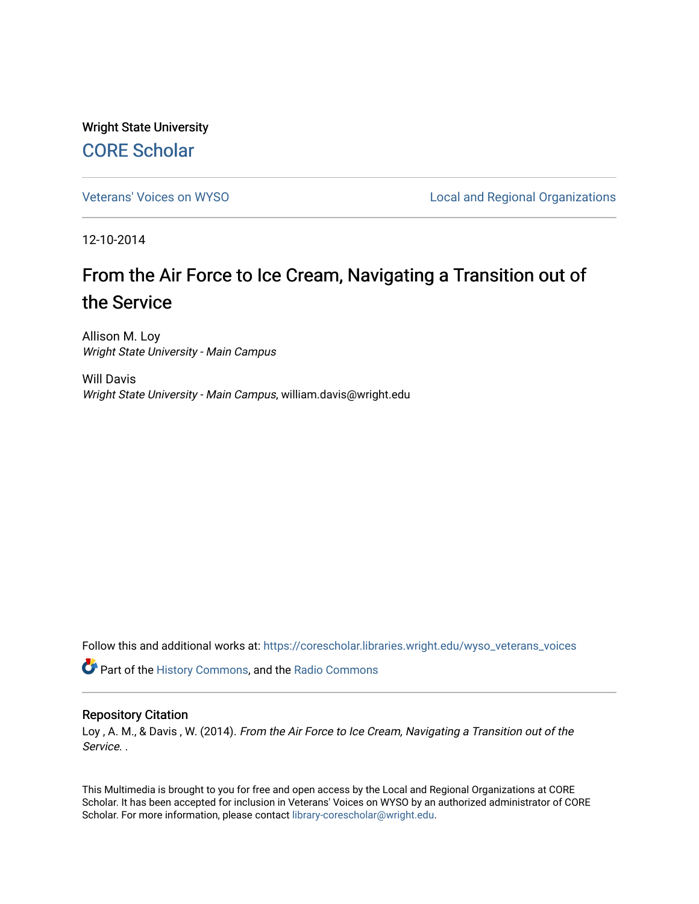Wright State University [CORE Scholar](https://corescholar.libraries.wright.edu/)

[Veterans' Voices on WYSO](https://corescholar.libraries.wright.edu/wyso_veterans_voices) **Local and Regional Organizations** 

12-10-2014

## From the Air Force to Ice Cream, Navigating a Transition out of the Service

Allison M. Loy Wright State University - Main Campus

Will Davis Wright State University - Main Campus, william.davis@wright.edu

Follow this and additional works at: [https://corescholar.libraries.wright.edu/wyso\\_veterans\\_voices](https://corescholar.libraries.wright.edu/wyso_veterans_voices?utm_source=corescholar.libraries.wright.edu%2Fwyso_veterans_voices%2F12&utm_medium=PDF&utm_campaign=PDFCoverPages)

Part of the [History Commons,](http://network.bepress.com/hgg/discipline/489?utm_source=corescholar.libraries.wright.edu%2Fwyso_veterans_voices%2F12&utm_medium=PDF&utm_campaign=PDFCoverPages) and the [Radio Commons](http://network.bepress.com/hgg/discipline/1144?utm_source=corescholar.libraries.wright.edu%2Fwyso_veterans_voices%2F12&utm_medium=PDF&utm_campaign=PDFCoverPages) 

## Repository Citation

Loy , A. M., & Davis , W. (2014). From the Air Force to Ice Cream, Navigating a Transition out of the Service. .

This Multimedia is brought to you for free and open access by the Local and Regional Organizations at CORE Scholar. It has been accepted for inclusion in Veterans' Voices on WYSO by an authorized administrator of CORE Scholar. For more information, please contact [library-corescholar@wright.edu](mailto:library-corescholar@wright.edu).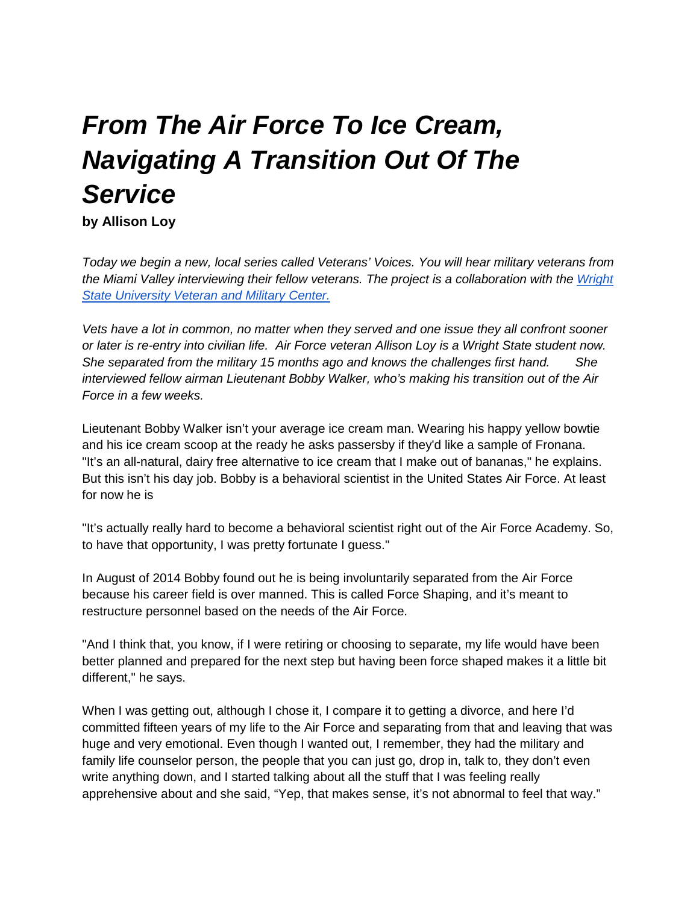## *From The Air Force To Ice Cream, Navigating A Transition Out Of The Service*

**by Allison Loy**

*Today we begin a new, local series called Veterans' Voices. You will hear military veterans from the Miami Valley interviewing their fellow veterans. The project is a collaboration with the Wright [State University Veteran and Military Center.](https://www.wright.edu/veteran-and-military-center)*

*Vets have a lot in common, no matter when they served and one issue they all confront sooner or later is re-entry into civilian life. Air Force veteran Allison Loy is a Wright State student now. She separated from the military 15 months ago and knows the challenges first hand. She interviewed fellow airman Lieutenant Bobby Walker, who's making his transition out of the Air Force in a few weeks.*

Lieutenant Bobby Walker isn't your average ice cream man. Wearing his happy yellow bowtie and his ice cream scoop at the ready he asks passersby if they'd like a sample of Fronana. "It's an all-natural, dairy free alternative to ice cream that I make out of bananas," he explains. But this isn't his day job. Bobby is a behavioral scientist in the United States Air Force. At least for now he is

"It's actually really hard to become a behavioral scientist right out of the Air Force Academy. So, to have that opportunity, I was pretty fortunate I guess."

In August of 2014 Bobby found out he is being involuntarily separated from the Air Force because his career field is over manned. This is called Force Shaping, and it's meant to restructure personnel based on the needs of the Air Force.

"And I think that, you know, if I were retiring or choosing to separate, my life would have been better planned and prepared for the next step but having been force shaped makes it a little bit different," he says.

When I was getting out, although I chose it, I compare it to getting a divorce, and here I'd committed fifteen years of my life to the Air Force and separating from that and leaving that was huge and very emotional. Even though I wanted out, I remember, they had the military and family life counselor person, the people that you can just go, drop in, talk to, they don't even write anything down, and I started talking about all the stuff that I was feeling really apprehensive about and she said, "Yep, that makes sense, it's not abnormal to feel that way."